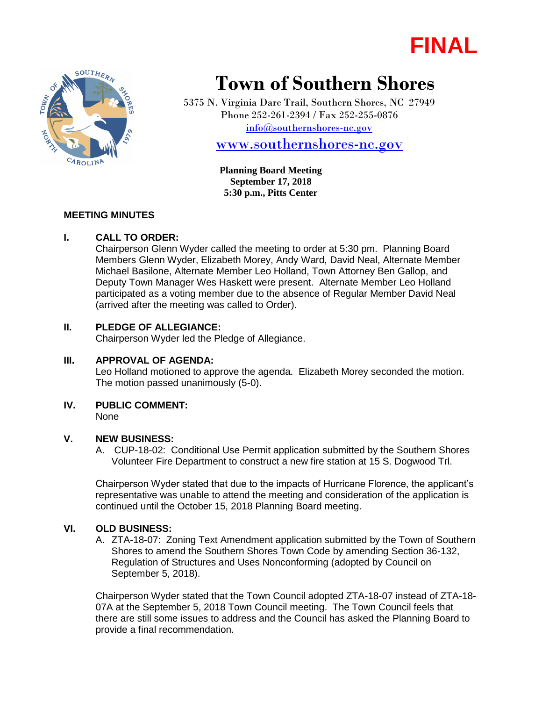



# **Town of Southern Shores**

5375 N. Virginia Dare Trail, Southern Shores, NC 27949 Phone 252-261-2394 / Fax 252-255-0876 [info@southernshores-nc.gov](mailto:info@southernshores-nc.gov)

[www.southernshores-nc.gov](http://www.southernshores-nc.gov/)

**Planning Board Meeting September 17, 2018 5:30 p.m., Pitts Center**

## **MEETING MINUTES**

#### **I. CALL TO ORDER:**

Chairperson Glenn Wyder called the meeting to order at 5:30 pm. Planning Board Members Glenn Wyder, Elizabeth Morey, Andy Ward, David Neal, Alternate Member Michael Basilone, Alternate Member Leo Holland, Town Attorney Ben Gallop, and Deputy Town Manager Wes Haskett were present. Alternate Member Leo Holland participated as a voting member due to the absence of Regular Member David Neal (arrived after the meeting was called to Order).

## **II. PLEDGE OF ALLEGIANCE:**

Chairperson Wyder led the Pledge of Allegiance.

## **III. APPROVAL OF AGENDA:**

Leo Holland motioned to approve the agenda. Elizabeth Morey seconded the motion. The motion passed unanimously (5-0).

# **IV. PUBLIC COMMENT:**

None

# **V. NEW BUSINESS:**

A. CUP-18-02: Conditional Use Permit application submitted by the Southern Shores Volunteer Fire Department to construct a new fire station at 15 S. Dogwood Trl.

Chairperson Wyder stated that due to the impacts of Hurricane Florence, the applicant's representative was unable to attend the meeting and consideration of the application is continued until the October 15, 2018 Planning Board meeting.

## **VI. OLD BUSINESS:**

A. ZTA-18-07: Zoning Text Amendment application submitted by the Town of Southern Shores to amend the Southern Shores Town Code by amending Section 36-132, Regulation of Structures and Uses Nonconforming (adopted by Council on September 5, 2018).

Chairperson Wyder stated that the Town Council adopted ZTA-18-07 instead of ZTA-18- 07A at the September 5, 2018 Town Council meeting. The Town Council feels that there are still some issues to address and the Council has asked the Planning Board to provide a final recommendation.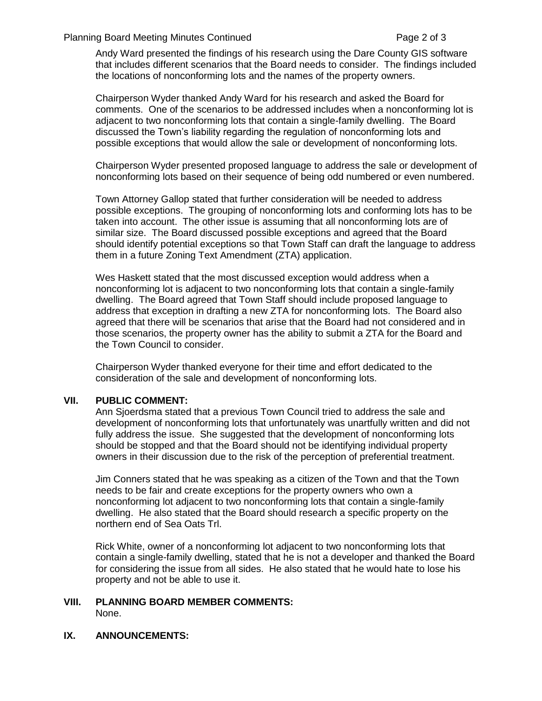#### Planning Board Meeting Minutes Continued Page 2 of 3

Andy Ward presented the findings of his research using the Dare County GIS software that includes different scenarios that the Board needs to consider. The findings included the locations of nonconforming lots and the names of the property owners.

Chairperson Wyder thanked Andy Ward for his research and asked the Board for comments. One of the scenarios to be addressed includes when a nonconforming lot is adjacent to two nonconforming lots that contain a single-family dwelling. The Board discussed the Town's liability regarding the regulation of nonconforming lots and possible exceptions that would allow the sale or development of nonconforming lots.

Chairperson Wyder presented proposed language to address the sale or development of nonconforming lots based on their sequence of being odd numbered or even numbered.

Town Attorney Gallop stated that further consideration will be needed to address possible exceptions. The grouping of nonconforming lots and conforming lots has to be taken into account. The other issue is assuming that all nonconforming lots are of similar size. The Board discussed possible exceptions and agreed that the Board should identify potential exceptions so that Town Staff can draft the language to address them in a future Zoning Text Amendment (ZTA) application.

Wes Haskett stated that the most discussed exception would address when a nonconforming lot is adjacent to two nonconforming lots that contain a single-family dwelling. The Board agreed that Town Staff should include proposed language to address that exception in drafting a new ZTA for nonconforming lots. The Board also agreed that there will be scenarios that arise that the Board had not considered and in those scenarios, the property owner has the ability to submit a ZTA for the Board and the Town Council to consider.

Chairperson Wyder thanked everyone for their time and effort dedicated to the consideration of the sale and development of nonconforming lots.

## **VII. PUBLIC COMMENT:**

Ann Sjoerdsma stated that a previous Town Council tried to address the sale and development of nonconforming lots that unfortunately was unartfully written and did not fully address the issue. She suggested that the development of nonconforming lots should be stopped and that the Board should not be identifying individual property owners in their discussion due to the risk of the perception of preferential treatment.

Jim Conners stated that he was speaking as a citizen of the Town and that the Town needs to be fair and create exceptions for the property owners who own a nonconforming lot adjacent to two nonconforming lots that contain a single-family dwelling. He also stated that the Board should research a specific property on the northern end of Sea Oats Trl.

Rick White, owner of a nonconforming lot adjacent to two nonconforming lots that contain a single-family dwelling, stated that he is not a developer and thanked the Board for considering the issue from all sides. He also stated that he would hate to lose his property and not be able to use it.

#### **VIII. PLANNING BOARD MEMBER COMMENTS:** None.

**IX. ANNOUNCEMENTS:**